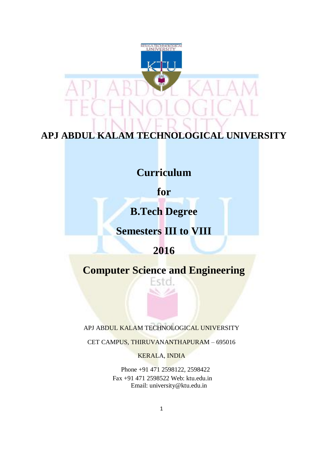

### **APJ ABDUL KALAM TECHNOLOGICAL UNIVERSITY**

## **Curriculum**

**for**

## **B.Tech Degree**

## **Semesters III to VIII**

**2016**

# **Computer Science and Engineering**

l-std.

APJ ABDUL KALAM TECHNOLOGICAL UNIVERSITY

CET CAMPUS, THIRUVANANTHAPURAM – 695016

KERALA, INDIA

Phone +91 471 2598122, 2598422 Fax +91 471 2598522 Web: ktu.edu.in Email: university@ktu.edu.in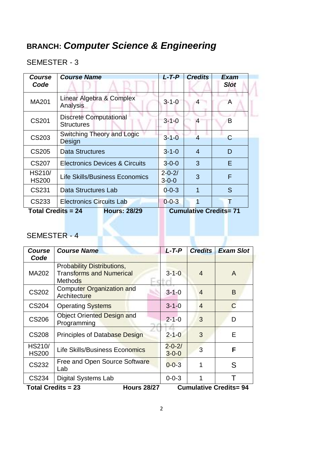#### SEMESTER - 3

| <b>Course</b><br>Code  | <b>Course Name</b>                                                               | L-T-P                       | <b>Credits</b> | Exam<br><b>Slot</b> |
|------------------------|----------------------------------------------------------------------------------|-----------------------------|----------------|---------------------|
| MA201                  | Linear Algebra & Complex<br>Analysis                                             | $3 - 1 - 0$                 | 4              | A                   |
| <b>CS201</b>           | <b>Discrete Computational</b><br><b>Structures</b>                               | $3 - 1 - 0$                 | 4              | B                   |
| CS203                  | Switching Theory and Logic<br>Design                                             | $3 - 1 - 0$                 |                | С                   |
| <b>CS205</b>           | <b>Data Structures</b>                                                           | $3 - 1 - 0$                 | $\overline{4}$ | D                   |
| <b>CS207</b>           | <b>Electronics Devices &amp; Circuits</b>                                        | $3 - 0 - 0$                 | 3              | E                   |
| HS210/<br><b>HS200</b> | <b>Life Skills/Business Economics</b>                                            | $2 - 0 - 2/$<br>$3 - 0 - 0$ | 3              | F                   |
| CS231                  | Data Structures Lab                                                              | $0 - 0 - 3$                 | 1              | S                   |
| CS233                  | <b>Electronics Circuits Lab</b>                                                  | $0 - 0 - 3$                 |                | Т                   |
|                        | <b>Cumulative Credits=71</b><br><b>Total Credits = 24</b><br><b>Hours: 28/29</b> |                             |                |                     |

### SEMESTER - 4

| <b>Course</b>                                                                   | <b>Course Name</b>                                                                     | $L - T - P$                 | <b>Credits</b> | <b>Exam Slot</b> |
|---------------------------------------------------------------------------------|----------------------------------------------------------------------------------------|-----------------------------|----------------|------------------|
| Code                                                                            |                                                                                        |                             |                |                  |
| <b>MA202</b>                                                                    | <b>Probability Distributions,</b><br><b>Transforms and Numerical</b><br><b>Methods</b> | $3 - 1 - 0$                 | 4              | A                |
| <b>CS202</b>                                                                    | <b>Computer Organization and</b><br>Architecture                                       | $3 - 1 - 0$                 | $\overline{4}$ | B                |
| <b>CS204</b>                                                                    | <b>Operating Systems</b>                                                               | $3 - 1 - 0$                 | $\overline{4}$ | $\mathsf{C}$     |
| <b>CS206</b>                                                                    | <b>Object Oriented Design and</b><br>Programming                                       | $2 - 1 - 0$                 | 3              | D                |
| <b>CS208</b>                                                                    | <b>Principles of Database Design</b>                                                   | $2 - 1 - 0$                 | 3              | E                |
| HS210/<br><b>HS200</b>                                                          | <b>Life Skills/Business Economics</b>                                                  | $2 - 0 - 2/$<br>$3 - 0 - 0$ | 3              | F                |
| <b>CS232</b>                                                                    | Free and Open Source Software<br>Lab                                                   | $0 - 0 - 3$                 |                | S                |
| CS234                                                                           | <b>Digital Systems Lab</b>                                                             | $0 - 0 - 3$                 |                |                  |
| <b>Cumulative Credits=94</b><br><b>Total Credits = 23</b><br><b>Hours 28/27</b> |                                                                                        |                             |                |                  |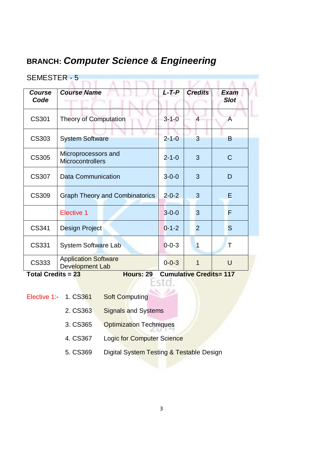| <b>SEMESTER - 5</b>                                                             |                                                |             |                |                            |  |  |
|---------------------------------------------------------------------------------|------------------------------------------------|-------------|----------------|----------------------------|--|--|
| <b>Course</b><br>Code                                                           | <b>Course Name</b>                             | $L$ -T-P    | <b>Credits</b> | <b>Exam</b><br><b>Slot</b> |  |  |
| <b>CS301</b>                                                                    | <b>Theory of Computation</b>                   | $3 - 1 - 0$ | $\overline{4}$ | A                          |  |  |
| CS303                                                                           | <b>System Software</b>                         | $2 - 1 - 0$ | 3              | B                          |  |  |
| <b>CS305</b>                                                                    | Microprocessors and<br><b>Microcontrollers</b> | $2 - 1 - 0$ | 3              | $\mathsf C$                |  |  |
| <b>CS307</b>                                                                    | Data Communication                             | $3 - 0 - 0$ | 3              | D                          |  |  |
| <b>CS309</b>                                                                    | <b>Graph Theory and Combinatorics</b>          | $2 - 0 - 2$ | 3              | Е                          |  |  |
|                                                                                 | Elective 1                                     | $3 - 0 - 0$ | 3              | F                          |  |  |
| <b>CS341</b>                                                                    | <b>Design Project</b>                          | $0 - 1 - 2$ | $\overline{2}$ | S                          |  |  |
| CS331                                                                           | <b>System Software Lab</b>                     | $0 - 0 - 3$ | 1              | T                          |  |  |
| CS333                                                                           | <b>Application Software</b><br>Development Lab | $0 - 0 - 3$ | 1              | $\cup$                     |  |  |
| <b>Total Credits = 23</b><br><b>Cumulative Credits= 117</b><br><b>Hours: 29</b> |                                                |             |                |                            |  |  |

SEMESTER - 5

ste

| Elective 1 | 1. CS361 | <b>Soft Computing</b> |
|------------|----------|-----------------------|
|------------|----------|-----------------------|

- 2. CS363 Signals and Systems
- 3. CS365 Optimization Techniques
- 4. CS367 Logic for Computer Science
- 5. CS369 Digital System Testing & Testable Design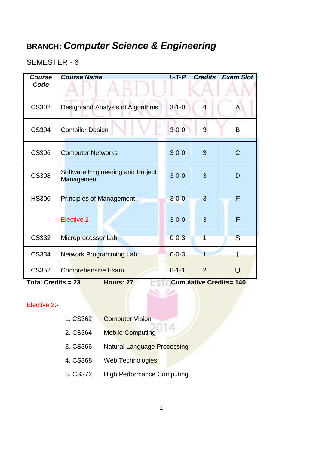#### SEMESTER - 6

| <b>Course</b><br>Code                                               | <b>Course Name</b>                             | $L$ -T-P    | <b>Credits</b> | <b>Exam Slot</b> |
|---------------------------------------------------------------------|------------------------------------------------|-------------|----------------|------------------|
|                                                                     |                                                |             |                |                  |
| <b>CS302</b>                                                        | Design and Analysis of Algorithms              | $3 - 1 - 0$ | 4              | A                |
| <b>CS304</b>                                                        | <b>Compiler Design</b>                         | $3 - 0 - 0$ | 3              | B                |
| <b>CS306</b>                                                        | <b>Computer Networks</b>                       | $3 - 0 - 0$ | 3              | $\mathsf C$      |
| <b>CS308</b>                                                        | Software Engineering and Project<br>Management | $3 - 0 - 0$ | 3              | D                |
| <b>HS300</b>                                                        | <b>Principles of Management</b>                | $3 - 0 - 0$ | 3              | Ε                |
|                                                                     | <b>Elective 2</b>                              | $3 - 0 - 0$ | 3              | F                |
| CS332                                                               | Microprocessor Lab                             | $0 - 0 - 3$ | $\overline{1}$ | S                |
| CS334                                                               | <b>Network Programming Lab</b>                 | $0 - 0 - 3$ | 1              | Т                |
| <b>CS352</b>                                                        | <b>Comprehensive Exam</b>                      | $0 - 1 - 1$ | $\overline{2}$ | U                |
| <b>Cumulative Credits= 140</b><br>Total Credits = $23$<br>Hours: 27 |                                                |             |                |                  |

#### Elective 2:-

- 1. CS362 Computer Vision
- 2. CS364 Mobile Computing
- 3. CS366 Natural Language Processing
- 4. CS368 Web Technologies
- 5. CS372 High Performance Computing

14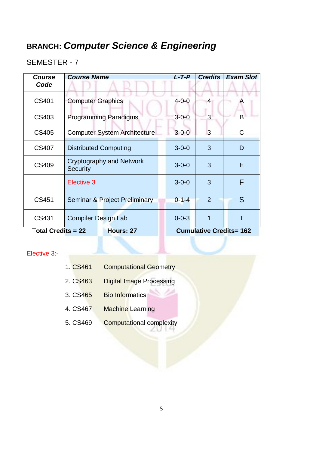#### SEMESTER - 7

| <b>Course</b><br>Code | <b>Course Name</b>                                                  | L-T-P       | <b>Credits</b> | <b>Exam Slot</b> |
|-----------------------|---------------------------------------------------------------------|-------------|----------------|------------------|
| CS401                 | <b>Computer Graphics</b>                                            | $4 - 0 - 0$ | 4              | $\overline{A}$   |
| CS403                 | <b>Programming Paradigms</b>                                        | $3 - 0 - 0$ | 3              | <sub>B</sub>     |
| CS405                 | <b>Computer System Architecture</b>                                 | $3 - 0 - 0$ | 3              | $\mathsf{C}$     |
| <b>CS407</b>          | <b>Distributed Computing</b>                                        | $3 - 0 - 0$ | 3              | D                |
| CS409                 | <b>Cryptography and Network</b><br><b>Security</b>                  | $3 - 0 - 0$ | 3              | E                |
|                       | Elective 3                                                          | $3 - 0 - 0$ | 3              | F                |
| CS451                 | <b>Seminar &amp; Project Preliminary</b>                            | $0 - 1 - 4$ | 2              | S                |
| CS431                 | <b>Compiler Design Lab</b>                                          | $0 - 0 - 3$ | 1              | T                |
|                       | Total Credits = $22$<br><b>Cumulative Credits= 162</b><br>Hours: 27 |             |                |                  |

#### Elective 3:-

| 1. CS461 | <b>Computational Geometry</b>   |
|----------|---------------------------------|
| 2. CS463 | <b>Digital Image Processing</b> |
| 3. CS465 | <b>Bio Informatics</b>          |
| 4. CS467 | <b>Machine Learning</b>         |
| 5. CS469 | <b>Computational complexity</b> |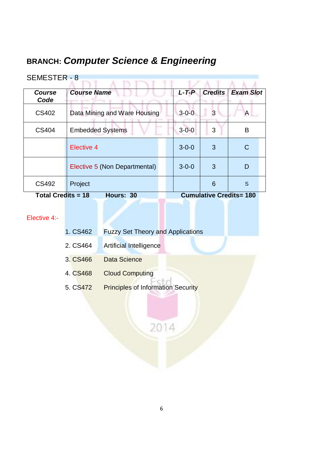| <b>SEMESTER - 8</b>   |                                                                          |             |                |                  |
|-----------------------|--------------------------------------------------------------------------|-------------|----------------|------------------|
| <b>Course</b><br>Code | <b>Course Name</b>                                                       | $L$ -T-P    | <b>Credits</b> | <b>Exam Slot</b> |
| CS402                 | Data Mining and Ware Housing                                             | $3 - 0 - 0$ | 3              | A                |
| CS404                 | <b>Embedded Systems</b>                                                  | $3 - 0 - 0$ | 3              | B                |
|                       | Elective 4                                                               | $3 - 0 - 0$ | 3              | C                |
|                       | Elective 5 (Non Departmental)                                            | $3 - 0 - 0$ | 3              | D                |
| CS492                 | Project                                                                  |             | 6              | S                |
|                       | <b>Cumulative Credits= 180</b><br><b>Total Credits = 18</b><br>Hours: 30 |             |                |                  |

#### Elective 4:-

- 1. CS462 Fuzzy Set Theory and Applications
- 2. CS464 Artificial Intelligence
- 3. CS466 Data Science
- 4. CS468 Cloud Computing
- 5. CS472 Principles of Information Security

2014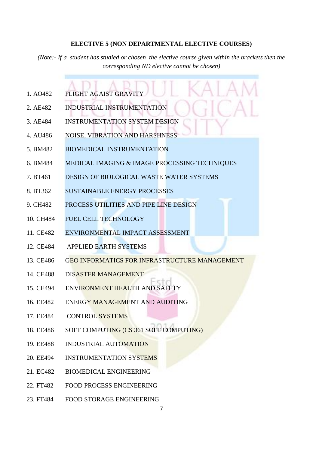#### **ELECTIVE 5 (NON DEPARTMENTAL ELECTIVE COURSES)**

*(Note:- If a student has studied or chosen the elective course given within the brackets then the corresponding ND elective cannot be chosen)*

- 1. AO482 FLIGHT AGAIST GRAVITY
- 2. AE482 INDUSTRIAL INSTRUMENTATION
- 3. AE484 INSTRUMENTATION SYSTEM DESIGN
- 4. AU486 NOISE, VIBRATION AND HARSHNESS
- 5. BM482 BIOMEDICAL INSTRUMENTATION
- 6. BM484 MEDICAL IMAGING & IMAGE PROCESSING TECHNIQUES
- 7. BT461 DESIGN OF BIOLOGICAL WASTE WATER SYSTEMS
- 8. BT362 SUSTAINABLE ENERGY PROCESSES
- 9. CH482 PROCESS UTILITIES AND PIPE LINE DESIGN
- 10. CH484 FUEL CELL TECHNOLOGY
- 11. CE482 ENVIRONMENTAL IMPACT ASSESSMENT
- 12. CE484 APPLIED EARTH SYSTEMS
- 13. CE486 GEO INFORMATICS FOR INFRASTRUCTURE MANAGEMENT
- 14. CE488 DISASTER MANAGEMENT
- 15. CE494 ENVIRONMENT HEALTH AND SAFETY
- 16. EE482 ENERGY MANAGEMENT AND AUDITING
- 17. EE484 CONTROL SYSTEMS
- 18. EE486 SOFT COMPUTING (CS 361 SOFT COMPUTING)
- 19. EE488 INDUSTRIAL AUTOMATION
- 20. EE494 INSTRUMENTATION SYSTEMS
- 21. EC482 BIOMEDICAL ENGINEERING
- 22. FT482 FOOD PROCESS ENGINEERING
- 23. FT484 FOOD STORAGE ENGINEERING